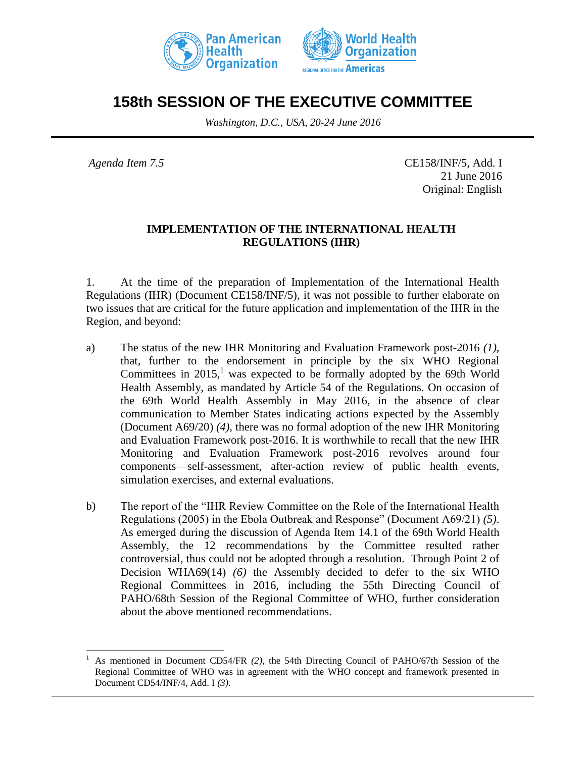



## **158th SESSION OF THE EXECUTIVE COMMITTEE**

*Washington, D.C., USA, 20-24 June 2016*

l

*Agenda Item 7.5* CE158/INF/5, Add. I 21 June 2016 Original: English

## **IMPLEMENTATION OF THE INTERNATIONAL HEALTH REGULATIONS (IHR)**

1. At the time of the preparation of Implementation of the International Health Regulations (IHR) (Document CE158/INF/5), it was not possible to further elaborate on two issues that are critical for the future application and implementation of the IHR in the Region, and beyond:

- a) The status of the new IHR Monitoring and Evaluation Framework post-2016 *(1)*, that, further to the endorsement in principle by the six WHO Regional Committees in  $2015<sup>1</sup>$  was expected to be formally adopted by the 69th World Health Assembly, as mandated by Article 54 of the Regulations. On occasion of the 69th World Health Assembly in May 2016, in the absence of clear communication to Member States indicating actions expected by the Assembly (Document A69/20) *(4)*, there was no formal adoption of the new IHR Monitoring and Evaluation Framework post-2016. It is worthwhile to recall that the new IHR Monitoring and Evaluation Framework post-2016 revolves around four components—self-assessment, after-action review of public health events, simulation exercises, and external evaluations.
- b) The report of the "IHR Review Committee on the Role of the International Health Regulations (2005) in the Ebola Outbreak and Response" (Document A69/21) *(5)*. As emerged during the discussion of Agenda Item 14.1 of the 69th World Health Assembly, the 12 recommendations by the Committee resulted rather controversial, thus could not be adopted through a resolution. Through Point 2 of Decision WHA69(14) *(6)* the Assembly decided to defer to the six WHO Regional Committees in 2016, including the 55th Directing Council of PAHO/68th Session of the Regional Committee of WHO, further consideration about the above mentioned recommendations.

<sup>1</sup> As mentioned in Document CD54/FR *(2)*, the 54th Directing Council of PAHO/67th Session of the Regional Committee of WHO was in agreement with the WHO concept and framework presented in Document CD54/INF/4, Add. I *(3)*.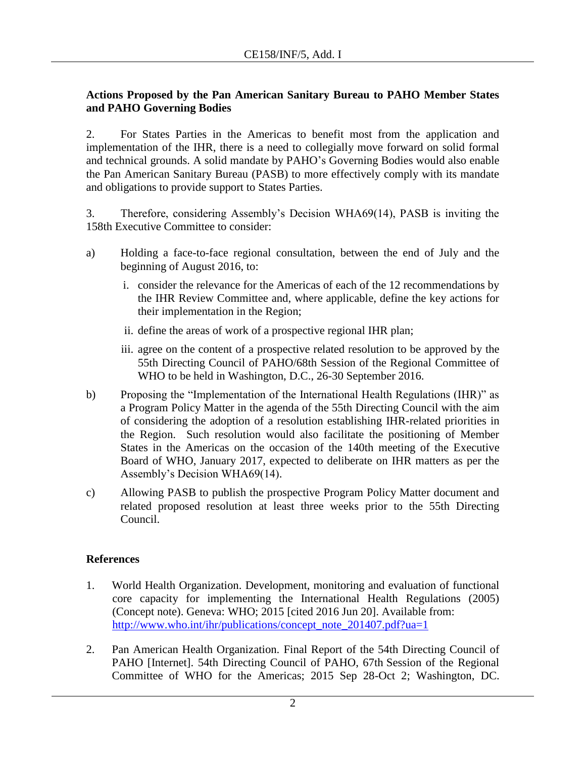## **Actions Proposed by the Pan American Sanitary Bureau to PAHO Member States and PAHO Governing Bodies**

2. For States Parties in the Americas to benefit most from the application and implementation of the IHR, there is a need to collegially move forward on solid formal and technical grounds. A solid mandate by PAHO's Governing Bodies would also enable the Pan American Sanitary Bureau (PASB) to more effectively comply with its mandate and obligations to provide support to States Parties.

3. Therefore, considering Assembly's Decision WHA69(14), PASB is inviting the 158th Executive Committee to consider:

- a) Holding a face-to-face regional consultation, between the end of July and the beginning of August 2016, to:
	- i. consider the relevance for the Americas of each of the 12 recommendations by the IHR Review Committee and, where applicable, define the key actions for their implementation in the Region;
	- ii. define the areas of work of a prospective regional IHR plan;
	- iii. agree on the content of a prospective related resolution to be approved by the 55th Directing Council of PAHO/68th Session of the Regional Committee of WHO to be held in Washington, D.C., 26-30 September 2016.
- b) Proposing the "Implementation of the International Health Regulations (IHR)" as a Program Policy Matter in the agenda of the 55th Directing Council with the aim of considering the adoption of a resolution establishing IHR-related priorities in the Region. Such resolution would also facilitate the positioning of Member States in the Americas on the occasion of the 140th meeting of the Executive Board of WHO, January 2017, expected to deliberate on IHR matters as per the Assembly's Decision WHA69(14).
- c) Allowing PASB to publish the prospective Program Policy Matter document and related proposed resolution at least three weeks prior to the 55th Directing Council.

## **References**

- 1. World Health Organization. Development, monitoring and evaluation of functional core capacity for implementing the International Health Regulations (2005) (Concept note). Geneva: WHO; 2015 [cited 2016 Jun 20]. Available from: [http://www.who.int/ihr/publications/concept\\_note\\_201407.pdf?ua=1](http://www.who.int/ihr/publications/concept_note_201407.pdf?ua=1)
- 2. Pan American Health Organization. Final Report of the 54th Directing Council of PAHO [Internet]. 54th Directing Council of PAHO, 67th Session of the Regional Committee of WHO for the Americas; 2015 Sep 28-Oct 2; Washington, DC.